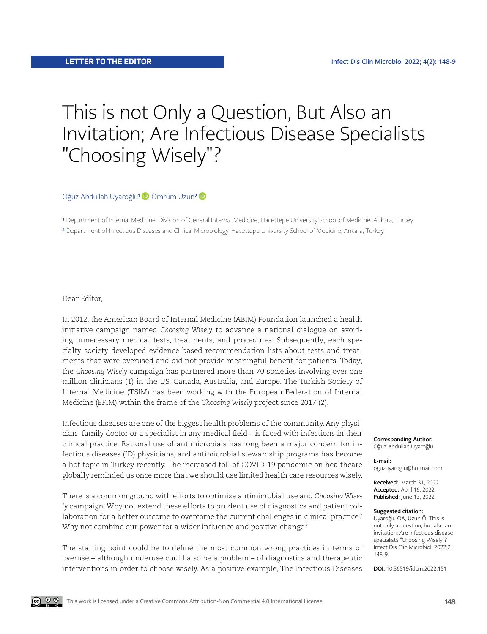## This is not Only a Question, But Also an Invitation; Are Infectious Disease Specialists "Choosing Wisely"?

OğuzAbdullah Uyaroğlu<sup>1</sup> D, Ömrüm Uzun<sup>2</sup> D

<sup>1</sup> Department of Internal Medicine, Division of General Internal Medicine, Hacettepe University School of Medicine, Ankara, Turkey 2 Department of Infectious Diseases and Clinical Microbiology, Hacettepe University School of Medicine, Ankara, Turkey

Dear Editor,

In 2012, the American Board of Internal Medicine (ABIM) Foundation launched a health initiative campaign named *Choosing Wisely* to advance a national dialogue on avoiding unnecessary medical tests, treatments, and procedures. Subsequently, each specialty society developed evidence-based recommendation lists about tests and treatments that were overused and did not provide meaningful benefit for patients. Today, the *Choosing Wisely* campaign has partnered more than 70 societies involving over one million clinicians (1) in the US, Canada, Australia, and Europe. The Turkish Society of Internal Medicine (TSIM) has been working with the European Federation of Internal Medicine (EFIM) within the frame of the *Choosing Wisely* project since 2017 (2).

Infectious diseases are one of the biggest health problems of the community. Any physician -family doctor or a specialist in any medical field – is faced with infections in their clinical practice. Rational use of antimicrobials has long been a major concern for infectious diseases (ID) physicians, and antimicrobial stewardship programs has become a hot topic in Turkey recently. The increased toll of COVID-19 pandemic on healthcare globally reminded us once more that we should use limited health care resources wisely.

There is a common ground with efforts to optimize antimicrobial use and *Choosing Wisely* campaign. Why not extend these efforts to prudent use of diagnostics and patient collaboration for a better outcome to overcome the current challenges in clinical practice? Why not combine our power for a wider influence and positive change?

The starting point could be to define the most common wrong practices in terms of overuse – although underuse could also be a problem – of diagnostics and therapeutic interventions in order to choose wisely. As a positive example, The Infectious Diseases Corresponding Author: Oğuz Abdullah Uyaroğlu

E-mail: oguzuyaroglu@hotmail.com

Received: March 31, 2022 Accepted: April 16, 2022 Published: June 13, 2022

## Suggested citation:

Uyaroğlu OA, Uzun Ö. This is not only a question, but also an invitation; Are infectious disease specialists "Choosing Wisely"? Infect Dis Clin Microbiol. 2022;2: 148-9.

DOI: 10.36519/idcm.2022.151